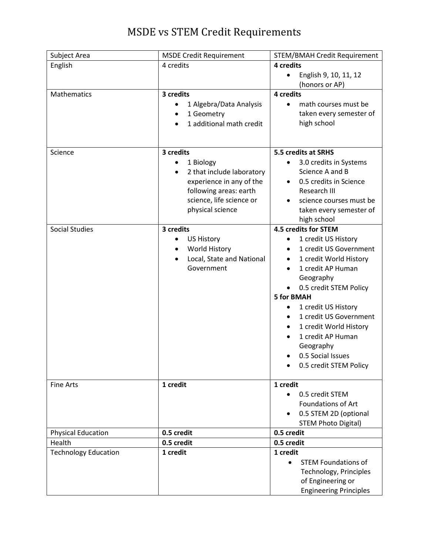## MSDE vs STEM Credit Requirements

| Subject Area                | <b>MSDE Credit Requirement</b>         | <b>STEM/BMAH Credit Requirement</b>                 |
|-----------------------------|----------------------------------------|-----------------------------------------------------|
| English                     | 4 credits                              | 4 credits                                           |
|                             |                                        | English 9, 10, 11, 12<br>$\bullet$                  |
|                             |                                        | (honors or AP)                                      |
| <b>Mathematics</b>          | 3 credits                              | 4 credits                                           |
|                             | 1 Algebra/Data Analysis                | math courses must be<br>$\bullet$                   |
|                             | 1 Geometry<br>٠                        | taken every semester of                             |
|                             | 1 additional math credit               | high school                                         |
|                             |                                        |                                                     |
|                             |                                        |                                                     |
| Science                     | 3 credits                              | 5.5 credits at SRHS                                 |
|                             | 1 Biology<br>$\bullet$                 | 3.0 credits in Systems<br>$\bullet$                 |
|                             | 2 that include laboratory<br>$\bullet$ | Science A and B                                     |
|                             | experience in any of the               | 0.5 credits in Science<br>٠                         |
|                             | following areas: earth                 | Research III                                        |
|                             | science, life science or               | science courses must be                             |
|                             | physical science                       | taken every semester of                             |
|                             |                                        | high school                                         |
| <b>Social Studies</b>       | 3 credits                              | 4.5 credits for STEM                                |
|                             | <b>US History</b>                      | 1 credit US History<br>٠                            |
|                             | World History                          | 1 credit US Government<br>$\bullet$                 |
|                             | Local, State and National<br>$\bullet$ | 1 credit World History<br>$\bullet$                 |
|                             | Government                             | 1 credit AP Human                                   |
|                             |                                        | Geography                                           |
|                             |                                        | 0.5 credit STEM Policy                              |
|                             |                                        | <b>5 for BMAH</b>                                   |
|                             |                                        | 1 credit US History                                 |
|                             |                                        | 1 credit US Government<br>$\bullet$                 |
|                             |                                        | 1 credit World History<br>$\bullet$                 |
|                             |                                        | 1 credit AP Human                                   |
|                             |                                        | Geography                                           |
|                             |                                        | 0.5 Social Issues                                   |
|                             |                                        | 0.5 credit STEM Policy                              |
|                             |                                        |                                                     |
| <b>Fine Arts</b>            | 1 credit                               | 1 credit                                            |
|                             |                                        | 0.5 credit STEM<br>$\bullet$                        |
|                             |                                        | <b>Foundations of Art</b>                           |
|                             |                                        | 0.5 STEM 2D (optional<br><b>STEM Photo Digital)</b> |
| <b>Physical Education</b>   | 0.5 credit                             | 0.5 credit                                          |
| Health                      | 0.5 credit                             | 0.5 credit                                          |
| <b>Technology Education</b> | 1 credit                               | 1 credit                                            |
|                             |                                        | <b>STEM Foundations of</b><br>$\bullet$             |
|                             |                                        | Technology, Principles                              |
|                             |                                        | of Engineering or                                   |
|                             |                                        |                                                     |
|                             |                                        | <b>Engineering Principles</b>                       |